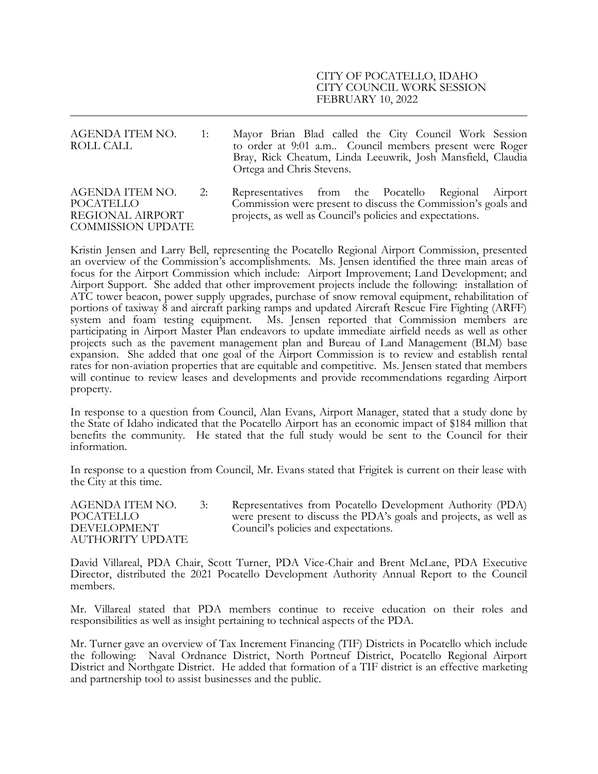## CITY OF POCATELLO, IDAHO CITY COUNCIL WORK SESSION FEBRUARY 10, 2022

| AGENDA ITEM NO.<br>ROLL CALL                                                        | $\overline{1}$ : | Mayor Brian Blad called the City Council Work Session<br>to order at 9:01 a.m Council members present were Roger<br>Bray, Rick Cheatum, Linda Leeuwrik, Josh Mansfield, Claudia<br>Ortega and Chris Stevens. |
|-------------------------------------------------------------------------------------|------------------|--------------------------------------------------------------------------------------------------------------------------------------------------------------------------------------------------------------|
| AGENDA ITEM NO.<br><b>POCATELLO</b><br>REGIONAL AIRPORT<br><b>COMMISSION UPDATE</b> | 2:               | Representatives from the Pocatello Regional Airport<br>Commission were present to discuss the Commission's goals and<br>projects, as well as Council's policies and expectations.                            |

Kristin Jensen and Larry Bell, representing the Pocatello Regional Airport Commission, presented an overview of the Commission's accomplishments. Ms. Jensen identified the three main areas of focus for the Airport Commission which include: Airport Improvement; Land Development; and Airport Support. She added that other improvement projects include the following: installation of ATC tower beacon, power supply upgrades, purchase of snow removal equipment, rehabilitation of portions of taxiway 8 and aircraft parking ramps and updated Aircraft Rescue Fire Fighting (ARFF) system and foam testing equipment. Ms. Jensen reported that Commission members are participating in Airport Master Plan endeavors to update immediate airfield needs as well as other projects such as the pavement management plan and Bureau of Land Management (BLM) base expansion. She added that one goal of the Airport Commission is to review and establish rental rates for non-aviation properties that are equitable and competitive. Ms. Jensen stated that members will continue to review leases and developments and provide recommendations regarding Airport property.

In response to a question from Council, Alan Evans, Airport Manager, stated that a study done by the State of Idaho indicated that the Pocatello Airport has an economic impact of \$184 million that benefits the community. He stated that the full study would be sent to the Council for their information.

In response to a question from Council, Mr. Evans stated that Frigitek is current on their lease with the City at this time.

AGENDA ITEM NO. 3: Representatives from Pocatello Development Authority (PDA)<br>POCATELLO were present to discuss the PDA's goals and projects, as well as were present to discuss the PDA's goals and projects, as well as DEVELOPMENT Council's policies and expectations. AUTHORITY UPDATE

David Villareal, PDA Chair, Scott Turner, PDA Vice-Chair and Brent McLane, PDA Executive Director, distributed the 2021 Pocatello Development Authority Annual Report to the Council members.

Mr. Villareal stated that PDA members continue to receive education on their roles and responsibilities as well as insight pertaining to technical aspects of the PDA.

Mr. Turner gave an overview of Tax Increment Financing (TIF) Districts in Pocatello which include the following: Naval Ordnance District, North Portneuf District, Pocatello Regional Airport District and Northgate District. He added that formation of a TIF district is an effective marketing and partnership tool to assist businesses and the public.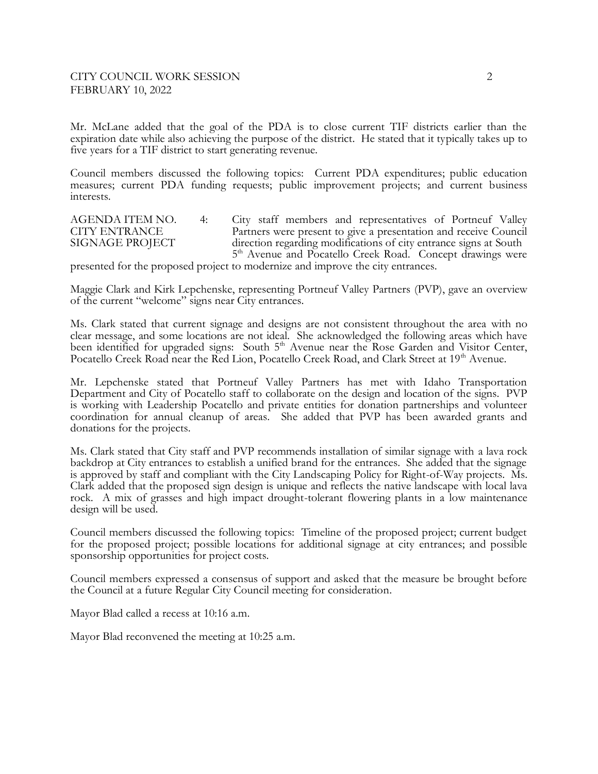Mr. McLane added that the goal of the PDA is to close current TIF districts earlier than the expiration date while also achieving the purpose of the district. He stated that it typically takes up to five years for a TIF district to start generating revenue.

Council members discussed the following topics: Current PDA expenditures; public education measures; current PDA funding requests; public improvement projects; and current business interests.

AGENDA ITEM NO. 4: City staff members and representatives of Portneuf Valley<br>CITY ENTRANCE Partners were present to give a presentation and receive Council CITY ENTRANCE Partners were present to give a presentation and receive Council<br>SIGNAGE PROJECT direction regarding modifications of city entrance signs at South direction regarding modifications of city entrance signs at South 5<sup>th</sup> Avenue and Pocatello Creek Road. Concept drawings were

presented for the proposed project to modernize and improve the city entrances.

Maggie Clark and Kirk Lepchenske, representing Portneuf Valley Partners (PVP), gave an overview of the current "welcome" signs near City entrances.

Ms. Clark stated that current signage and designs are not consistent throughout the area with no clear message, and some locations are not ideal. She acknowledged the following areas which have been identified for upgraded signs: South 5<sup>th</sup> Avenue near the Rose Garden and Visitor Center, Pocatello Creek Road near the Red Lion, Pocatello Creek Road, and Clark Street at 19<sup>th</sup> Avenue.

Mr. Lepchenske stated that Portneuf Valley Partners has met with Idaho Transportation Department and City of Pocatello staff to collaborate on the design and location of the signs. PVP is working with Leadership Pocatello and private entities for donation partnerships and volunteer coordination for annual cleanup of areas. She added that PVP has been awarded grants and donations for the projects.

Ms. Clark stated that City staff and PVP recommends installation of similar signage with a lava rock backdrop at City entrances to establish a unified brand for the entrances. She added that the signage is approved by staff and compliant with the City Landscaping Policy for Right-of-Way projects. Ms. Clark added that the proposed sign design is unique and reflects the native landscape with local lava rock. A mix of grasses and high impact drought-tolerant flowering plants in a low maintenance design will be used.

Council members discussed the following topics: Timeline of the proposed project; current budget for the proposed project; possible locations for additional signage at city entrances; and possible sponsorship opportunities for project costs.

Council members expressed a consensus of support and asked that the measure be brought before the Council at a future Regular City Council meeting for consideration.

Mayor Blad called a recess at 10:16 a.m.

Mayor Blad reconvened the meeting at 10:25 a.m.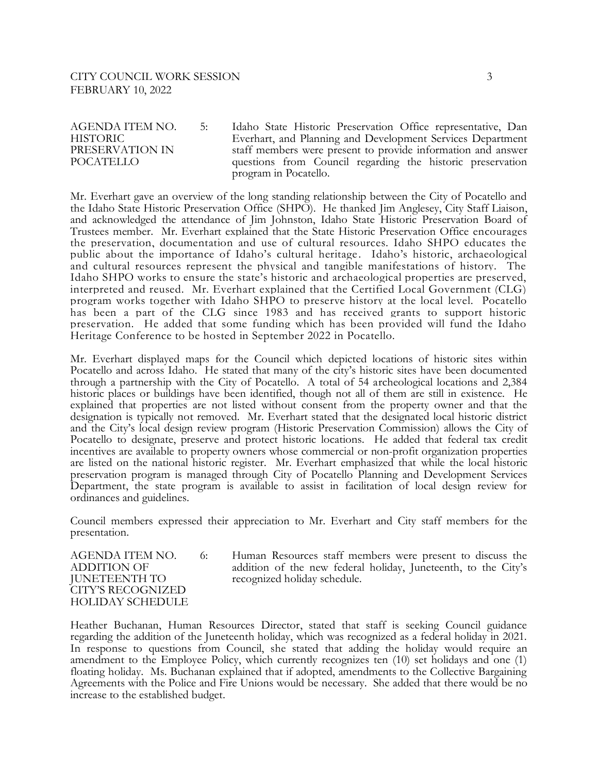AGENDA ITEM NO. 5: Idaho State Historic Preservation Office representative, Dan HISTORIC Everhart, and Planning and Development Services Department PRESERVATION IN staff members were present to provide information and answer<br>POCATELLO questions from Council regarding the historic preservation questions from Council regarding the historic preservation program in Pocatello.

Mr. Everhart gave an overview of the long standing relationship between the City of Pocatello and the Idaho State Historic Preservation Office (SHPO). He thanked Jim Anglesey, City Staff Liaison, and acknowledged the attendance of Jim Johnston, Idaho State Historic Preservation Board of Trustees member. Mr. Everhart explained that the State Historic Preservation Office encourages the preservation, documentation and use of cultural resources. Idaho SHPO educates the public about the importance of Idaho's cultural heritage . Idaho's historic, archaeological and cultural resources represent the physical and tangible manifestations of history. The Idaho SHPO works to ensure the state's historic and archaeological properties are preserved, interpreted and reused. Mr. Everhart explained that the Certified Local Government (CLG) program works together with Idaho SHPO to preserve history at the local level. Pocatello has been a part of the CLG since 1983 and has received grants to support historic preservation. He added that some funding which has been provided will fund the Idaho Heritage Conference to be hosted in September 2022 in Pocatello.

Mr. Everhart displayed maps for the Council which depicted locations of historic sites within Pocatello and across Idaho. He stated that many of the city's historic sites have been documented through a partnership with the City of Pocatello. A total of 54 archeological locations and 2,384 historic places or buildings have been identified, though not all of them are still in existence. He explained that properties are not listed without consent from the property owner and that the designation is typically not removed. Mr. Everhart stated that the designated local historic district and the City's local design review program (Historic Preservation Commission) allows the City of Pocatello to designate, preserve and protect historic locations. He added that federal tax credit incentives are available to property owners whose commercial or non-profit organization properties are listed on the national historic register. Mr. Everhart emphasized that while the local historic preservation program is managed through City of Pocatello Planning and Development Services Department, the state program is available to assist in facilitation of local design review for ordinances and guidelines.

Council members expressed their appreciation to Mr. Everhart and City staff members for the presentation.

JUNETEENTH TO recognized holiday schedule. CITY'S RECOGNIZED HOLIDAY SCHEDULE

AGENDA ITEM NO. 6: Human Resources staff members were present to discuss the ADDITION OF addition of the new federal holiday, Juneteenth, to the City's

Heather Buchanan, Human Resources Director, stated that staff is seeking Council guidance regarding the addition of the Juneteenth holiday, which was recognized as a federal holiday in 2021. In response to questions from Council, she stated that adding the holiday would require an amendment to the Employee Policy, which currently recognizes ten (10) set holidays and one (1) floating holiday. Ms. Buchanan explained that if adopted, amendments to the Collective Bargaining Agreements with the Police and Fire Unions would be necessary. She added that there would be no increase to the established budget.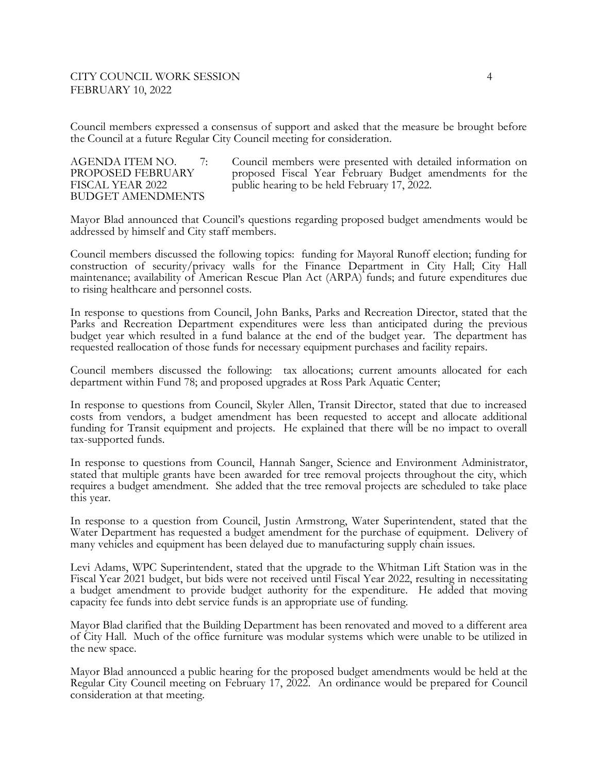Council members expressed a consensus of support and asked that the measure be brought before the Council at a future Regular City Council meeting for consideration.

## BUDGET AMENDMENTS

AGENDA ITEM NO. 7: Council members were presented with detailed information on<br>PROPOSED FEBRUARY or proposed Fiscal Year February Budget amendments for the PROPOSED FEBRUARY proposed Fiscal Year February Budget amendments for the FISCAL YEAR 2022 public hearing to be held February 17, 2022.

Mayor Blad announced that Council's questions regarding proposed budget amendments would be addressed by himself and City staff members.

Council members discussed the following topics: funding for Mayoral Runoff election; funding for construction of security/privacy walls for the Finance Department in City Hall; City Hall maintenance; availability of American Rescue Plan Act (ARPA) funds; and future expenditures due to rising healthcare and personnel costs.

In response to questions from Council, John Banks, Parks and Recreation Director, stated that the Parks and Recreation Department expenditures were less than anticipated during the previous budget year which resulted in a fund balance at the end of the budget year. The department has requested reallocation of those funds for necessary equipment purchases and facility repairs.

Council members discussed the following: tax allocations; current amounts allocated for each department within Fund 78; and proposed upgrades at Ross Park Aquatic Center;

In response to questions from Council, Skyler Allen, Transit Director, stated that due to increased costs from vendors, a budget amendment has been requested to accept and allocate additional funding for Transit equipment and projects. He explained that there will be no impact to overall tax-supported funds.

In response to questions from Council, Hannah Sanger, Science and Environment Administrator, stated that multiple grants have been awarded for tree removal projects throughout the city, which requires a budget amendment. She added that the tree removal projects are scheduled to take place this year.

In response to a question from Council, Justin Armstrong, Water Superintendent, stated that the Water Department has requested a budget amendment for the purchase of equipment. Delivery of many vehicles and equipment has been delayed due to manufacturing supply chain issues.

Levi Adams, WPC Superintendent, stated that the upgrade to the Whitman Lift Station was in the Fiscal Year 2021 budget, but bids were not received until Fiscal Year 2022, resulting in necessitating a budget amendment to provide budget authority for the expenditure. He added that moving capacity fee funds into debt service funds is an appropriate use of funding.

Mayor Blad clarified that the Building Department has been renovated and moved to a different area of City Hall. Much of the office furniture was modular systems which were unable to be utilized in the new space.

Mayor Blad announced a public hearing for the proposed budget amendments would be held at the Regular City Council meeting on February 17, 2022. An ordinance would be prepared for Council consideration at that meeting.